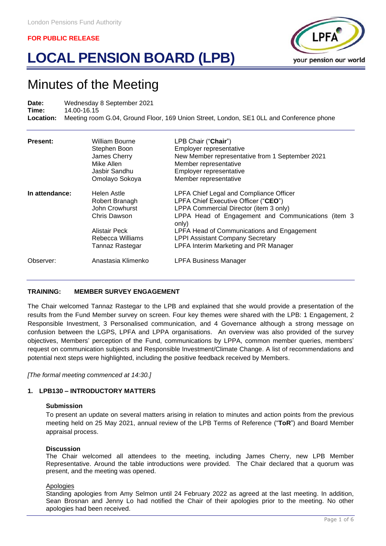# **LOCAL PENSION BOARD (LPB)**



# Minutes of the Meeting

Date: Wednesday 8 September 2021<br>Time: 14.00-16.15 **Time:** 14.00-16.15 **Location:** Meeting room G.04, Ground Floor, 169 Union Street, London, SE1 0LL and Conference phone

| <b>Present:</b> | William Bourne<br>Stephen Boon<br>James Cherry<br>Mike Allen<br>Jasbir Sandhu<br>Omolayo Sokoya | LPB Chair ("Chair")<br>Employer representative<br>New Member representative from 1 September 2021<br>Member representative<br>Employer representative<br>Member representative           |
|-----------------|-------------------------------------------------------------------------------------------------|------------------------------------------------------------------------------------------------------------------------------------------------------------------------------------------|
| In attendance:  | Helen Astle<br>Robert Branagh<br>John Crowhurst<br>Chris Dawson                                 | LPFA Chief Legal and Compliance Officer<br>LPFA Chief Executive Officer ("CEO")<br>LPPA Commercial Director (item 3 only)<br>LPPA Head of Engagement and Communications (item 3<br>only) |
|                 | Alistair Peck<br>Rebecca Williams<br>Tannaz Rastegar                                            | LPFA Head of Communications and Engagement<br><b>LPPI Assistant Company Secretary</b><br>LPFA Interim Marketing and PR Manager                                                           |
| Observer:       | Anastasia Klimenko                                                                              | <b>LPFA Business Manager</b>                                                                                                                                                             |

#### **TRAINING: MEMBER SURVEY ENGAGEMENT**

The Chair welcomed Tannaz Rastegar to the LPB and explained that she would provide a presentation of the results from the Fund Member survey on screen. Four key themes were shared with the LPB: 1 Engagement, 2 Responsible Investment, 3 Personalised communication, and 4 Governance although a strong message on confusion between the LGPS, LPFA and LPPA organisations. An overview was also provided of the survey objectives, Members' perception of the Fund, communications by LPPA, common member queries, members' request on communication subjects and Responsible Investment/Climate Change. A list of recommendations and potential next steps were highlighted, including the positive feedback received by Members.

*[The formal meeting commenced at 14:30.]*

# **1. LPB130 – INTRODUCTORY MATTERS**

#### **Submission**

To present an update on several matters arising in relation to minutes and action points from the previous meeting held on 25 May 2021, annual review of the LPB Terms of Reference ("**ToR**") and Board Member appraisal process.

#### **Discussion**

The Chair welcomed all attendees to the meeting, including James Cherry, new LPB Member Representative. Around the table introductions were provided. The Chair declared that a quorum was present, and the meeting was opened.

#### **Apologies**

Standing apologies from Amy Selmon until 24 February 2022 as agreed at the last meeting. In addition, Sean Brosnan and Jenny Lo had notified the Chair of their apologies prior to the meeting. No other apologies had been received.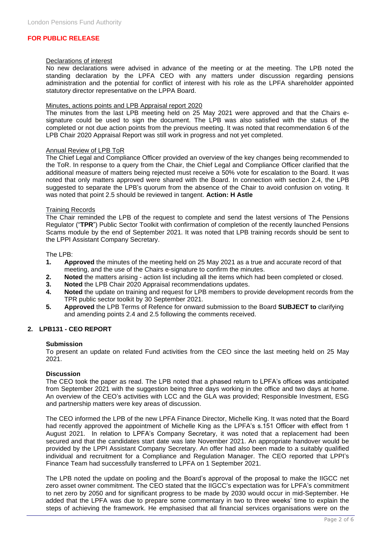#### Declarations of interest

No new declarations were advised in advance of the meeting or at the meeting. The LPB noted the standing declaration by the LPFA CEO with any matters under discussion regarding pensions administration and the potential for conflict of interest with his role as the LPFA shareholder appointed statutory director representative on the LPPA Board.

#### Minutes, actions points and LPB Appraisal report 2020

The minutes from the last LPB meeting held on 25 May 2021 were approved and that the Chairs esignature could be used to sign the document. The LPB was also satisfied with the status of the completed or not due action points from the previous meeting. It was noted that recommendation 6 of the LPB Chair 2020 Appraisal Report was still work in progress and not yet completed.

#### Annual Review of LPB ToR

The Chief Legal and Compliance Officer provided an overview of the key changes being recommended to the ToR. In response to a query from the Chair, the Chief Legal and Compliance Officer clarified that the additional measure of matters being rejected must receive a 50% vote for escalation to the Board. It was noted that only matters approved were shared with the Board. In connection with section 2.4, the LPB suggested to separate the LPB's quorum from the absence of the Chair to avoid confusion on voting. It was noted that point 2.5 should be reviewed in tangent. **Action: H Astle**

#### Training Records

The Chair reminded the LPB of the request to complete and send the latest versions of The Pensions Regulator ("**TPR**") Public Sector Toolkit with confirmation of completion of the recently launched Pensions Scams module by the end of September 2021. It was noted that LPB training records should be sent to the LPPI Assistant Company Secretary.

#### The LPB:

- **1. Approved** the minutes of the meeting held on 25 May 2021 as a true and accurate record of that meeting, and the use of the Chairs e-signature to confirm the minutes.
- **2. Noted** the matters arising action list including all the items which had been completed or closed.
- **3. Noted** the LPB Chair 2020 Appraisal recommendations updates.
- **4. Noted** the update on training and request for LPB members to provide development records from the TPR public sector toolkit by 30 September 2021.
- **5. Approved** the LPB Terms of Refence for onward submission to the Board **SUBJECT to** clarifying and amending points 2.4 and 2.5 following the comments received.

# **2. LPB131 - CEO REPORT**

#### **Submission**

To present an update on related Fund activities from the CEO since the last meeting held on 25 May 2021.

# **Discussion**

The CEO took the paper as read. The LPB noted that a phased return to LPFA's offices was anticipated from September 2021 with the suggestion being three days working in the office and two days at home. An overview of the CEO's activities with LCC and the GLA was provided; Responsible Investment, ESG and partnership matters were key areas of discussion.

The CEO informed the LPB of the new LPFA Finance Director, Michelle King. It was noted that the Board had recently approved the appointment of Michelle King as the LPFA's s.151 Officer with effect from 1 August 2021. In relation to LPFA's Company Secretary, it was noted that a replacement had been secured and that the candidates start date was late November 2021. An appropriate handover would be provided by the LPPI Assistant Company Secretary. An offer had also been made to a suitably qualified individual and recruitment for a Compliance and Regulation Manager. The CEO reported that LPPI's Finance Team had successfully transferred to LPFA on 1 September 2021.

The LPB noted the update on pooling and the Board's approval of the proposal to make the IIGCC net zero asset owner commitment. The CEO stated that the IIGCC's expectation was for LPFA's commitment to net zero by 2050 and for significant progress to be made by 2030 would occur in mid-September. He added that the LPFA was due to prepare some commentary in two to three weeks' time to explain the steps of achieving the framework. He emphasised that all financial services organisations were on the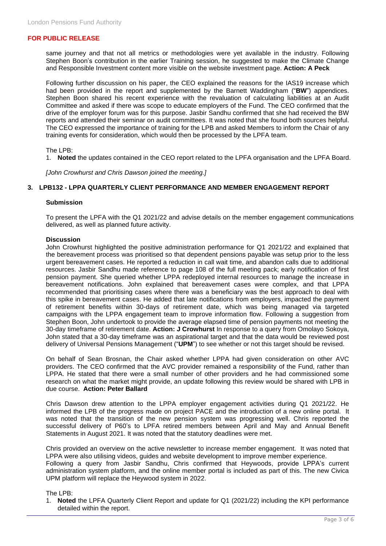same journey and that not all metrics or methodologies were yet available in the industry. Following Stephen Boon's contribution in the earlier Training session, he suggested to make the Climate Change and Responsible Investment content more visible on the website investment page. **Action: A Peck** 

Following further discussion on his paper, the CEO explained the reasons for the IAS19 increase which had been provided in the report and supplemented by the Barnett Waddingham ("**BW**") appendices. Stephen Boon shared his recent experience with the revaluation of calculating liabilities at an Audit Committee and asked if there was scope to educate employers of the Fund. The CEO confirmed that the drive of the employer forum was for this purpose. Jasbir Sandhu confirmed that she had received the BW reports and attended their seminar on audit committees. It was noted that she found both sources helpful. The CEO expressed the importance of training for the LPB and asked Members to inform the Chair of any training events for consideration, which would then be processed by the LPFA team.

#### The LPB:

1. **Noted** the updates contained in the CEO report related to the LPFA organisation and the LPFA Board.

*[John Crowhurst and Chris Dawson joined the meeting.]*

#### **3. LPB132 - LPPA QUARTERLY CLIENT PERFORMANCE AND MEMBER ENGAGEMENT REPORT**

#### **Submission**

To present the LPFA with the Q1 2021/22 and advise details on the member engagement communications delivered, as well as planned future activity.

#### **Discussion**

John Crowhurst highlighted the positive administration performance for Q1 2021/22 and explained that the bereavement process was prioritised so that dependent pensions payable was setup prior to the less urgent bereavement cases. He reported a reduction in call wait time, and abandon calls due to additional resources. Jasbir Sandhu made reference to page 108 of the full meeting pack; early notification of first pension payment. She queried whether LPPA redeployed internal resources to manage the increase in bereavement notifications. John explained that bereavement cases were complex, and that LPPA recommended that prioritising cases where there was a beneficiary was the best approach to deal with this spike in bereavement cases. He added that late notifications from employers, impacted the payment of retirement benefits within 30-days of retirement date, which was being managed via targeted campaigns with the LPPA engagement team to improve information flow. Following a suggestion from Stephen Boon, John undertook to provide the average elapsed time of pension payments not meeting the 30-day timeframe of retirement date. **Action: J Crowhurst** In response to a query from Omolayo Sokoya, John stated that a 30-day timeframe was an aspirational target and that the data would be reviewed post delivery of Universal Pensions Management ("**UPM**") to see whether or not this target should be revised.

On behalf of Sean Brosnan, the Chair asked whether LPPA had given consideration on other AVC providers. The CEO confirmed that the AVC provider remained a responsibility of the Fund, rather than LPPA. He stated that there were a small number of other providers and he had commissioned some research on what the market might provide, an update following this review would be shared with LPB in due course. **Action: Peter Ballard**

Chris Dawson drew attention to the LPPA employer engagement activities during Q1 2021/22. He informed the LPB of the progress made on project PACE and the introduction of a new online portal. It was noted that the transition of the new pension system was progressing well. Chris reported the successful delivery of P60's to LPFA retired members between April and May and Annual Benefit Statements in August 2021. It was noted that the statutory deadlines were met.

Chris provided an overview on the active newsletter to increase member engagement. It was noted that LPPA were also utilising videos, guides and website development to improve member experience. Following a query from Jasbir Sandhu, Chris confirmed that Heywoods, provide LPPA's current administration system platform, and the online member portal is included as part of this. The new Civica UPM platform will replace the Heywood system in 2022.

The LPB:

1. **Noted** the LPFA Quarterly Client Report and update for Q1 (2021/22) including the KPI performance detailed within the report.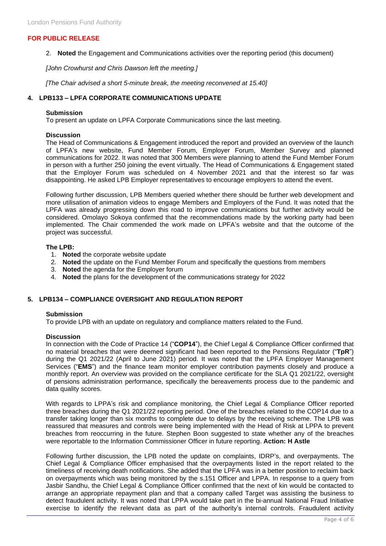2. **Noted** the Engagement and Communications activities over the reporting period (this document)

*[John Crowhurst and Chris Dawson left the meeting.]*

*[The Chair advised a short 5-minute break, the meeting reconvened at 15.40]*

# **4. LPB133 – LPFA CORPORATE COMMUNICATIONS UPDATE**

#### **Submission**

To present an update on LPFA Corporate Communications since the last meeting.

#### **Discussion**

The Head of Communications & Engagement introduced the report and provided an overview of the launch of LPFA's new website, Fund Member Forum, Employer Forum, Member Survey and planned communications for 2022. It was noted that 300 Members were planning to attend the Fund Member Forum in person with a further 250 joining the event virtually. The Head of Communications & Engagement stated that the Employer Forum was scheduled on 4 November 2021 and that the interest so far was disappointing. He asked LPB Employer representatives to encourage employers to attend the event.

Following further discussion, LPB Members queried whether there should be further web development and more utilisation of animation videos to engage Members and Employers of the Fund. It was noted that the LPFA was already progressing down this road to improve communications but further activity would be considered. Omolayo Sokoya confirmed that the recommendations made by the working party had been implemented. The Chair commended the work made on LPFA's website and that the outcome of the project was successful.

# **The LPB:**

- 1. **Noted** the corporate website update
- 2. **Noted** the update on the Fund Member Forum and specifically the questions from members
- 3. **Noted** the agenda for the Employer forum
- 4. **Noted** the plans for the development of the communications strategy for 2022

# **5. LPB134 – COMPLIANCE OVERSIGHT AND REGULATION REPORT**

#### **Submission**

To provide LPB with an update on regulatory and compliance matters related to the Fund.

#### **Discussion**

In connection with the Code of Practice 14 ("**COP14**"), the Chief Legal & Compliance Officer confirmed that no material breaches that were deemed significant had been reported to the Pensions Regulator ("**TpR**") during the Q1 2021/22 (April to June 2021) period. It was noted that the LPFA Employer Management Services ("**EMS**") and the finance team monitor employer contribution payments closely and produce a monthly report. An overview was provided on the compliance certificate for the SLA Q1 2021/22, oversight of pensions administration performance, specifically the bereavements process due to the pandemic and data quality scores.

With regards to LPPA's risk and compliance monitoring, the Chief Legal & Compliance Officer reported three breaches during the Q1 2021/22 reporting period. One of the breaches related to the COP14 due to a transfer taking longer than six months to complete due to delays by the receiving scheme. The LPB was reassured that measures and controls were being implemented with the Head of Risk at LPPA to prevent breaches from reoccurring in the future. Stephen Boon suggested to state whether any of the breaches were reportable to the Information Commissioner Officer in future reporting. **Action: H Astle**

Following further discussion, the LPB noted the update on complaints, IDRP's, and overpayments. The Chief Legal & Compliance Officer emphasised that the overpayments listed in the report related to the timeliness of receiving death notifications. She added that the LPFA was in a better position to reclaim back on overpayments which was being monitored by the s.151 Officer and LPPA. In response to a query from Jasbir Sandhu, the Chief Legal & Compliance Officer confirmed that the next of kin would be contacted to arrange an appropriate repayment plan and that a company called Target was assisting the business to detect fraudulent activity. It was noted that LPPA would take part in the bi-annual National Fraud Initiative exercise to identify the relevant data as part of the authority's internal controls. Fraudulent activity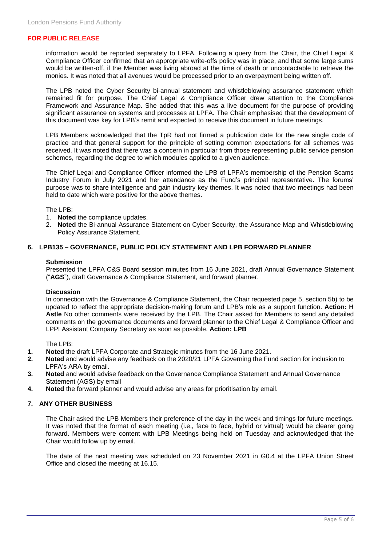information would be reported separately to LPFA. Following a query from the Chair, the Chief Legal & Compliance Officer confirmed that an appropriate write-offs policy was in place, and that some large sums would be written-off, if the Member was living abroad at the time of death or uncontactable to retrieve the monies. It was noted that all avenues would be processed prior to an overpayment being written off.

The LPB noted the Cyber Security bi-annual statement and whistleblowing assurance statement which remained fit for purpose. The Chief Legal & Compliance Officer drew attention to the Compliance Framework and Assurance Map. She added that this was a live document for the purpose of providing significant assurance on systems and processes at LPFA. The Chair emphasised that the development of this document was key for LPB's remit and expected to receive this document in future meetings.

LPB Members acknowledged that the TpR had not firmed a publication date for the new single code of practice and that general support for the principle of setting common expectations for all schemes was received. It was noted that there was a concern in particular from those representing public service pension schemes, regarding the degree to which modules applied to a given audience.

The Chief Legal and Compliance Officer informed the LPB of LPFA's membership of the Pension Scams Industry Forum in July 2021 and her attendance as the Fund's principal representative. The forums' purpose was to share intelligence and gain industry key themes. It was noted that two meetings had been held to date which were positive for the above themes.

The LPB:

- 1. **Noted** the compliance updates.
- 2. **Noted** the Bi-annual Assurance Statement on Cyber Security, the Assurance Map and Whistleblowing Policy Assurance Statement.

# **6. LPB135 – GOVERNANCE, PUBLIC POLICY STATEMENT AND LPB FORWARD PLANNER**

#### **Submission**

Presented the LPFA C&S Board session minutes from 16 June 2021, draft Annual Governance Statement ("**AGS**"), draft Governance & Compliance Statement, and forward planner.

#### **Discussion**

In connection with the Governance & Compliance Statement, the Chair requested page 5, section 5b) to be updated to reflect the appropriate decision-making forum and LPB's role as a support function. **Action: H Astle** No other comments were received by the LPB. The Chair asked for Members to send any detailed comments on the governance documents and forward planner to the Chief Legal & Compliance Officer and LPPI Assistant Company Secretary as soon as possible. **Action: LPB**

The LPB:

- **1. Noted** the draft LPFA Corporate and Strategic minutes from the 16 June 2021.
- **2. Noted** and would advise any feedback on the 2020/21 LPFA Governing the Fund section for inclusion to LPFA's ARA by email.
- **3. Noted** and would advise feedback on the Governance Compliance Statement and Annual Governance Statement (AGS) by email
- **4. Noted** the forward planner and would advise any areas for prioritisation by email.

#### **7. ANY OTHER BUSINESS**

The Chair asked the LPB Members their preference of the day in the week and timings for future meetings. It was noted that the format of each meeting (i.e., face to face, hybrid or virtual) would be clearer going forward. Members were content with LPB Meetings being held on Tuesday and acknowledged that the Chair would follow up by email.

The date of the next meeting was scheduled on 23 November 2021 in G0.4 at the LPFA Union Street Office and closed the meeting at 16.15.